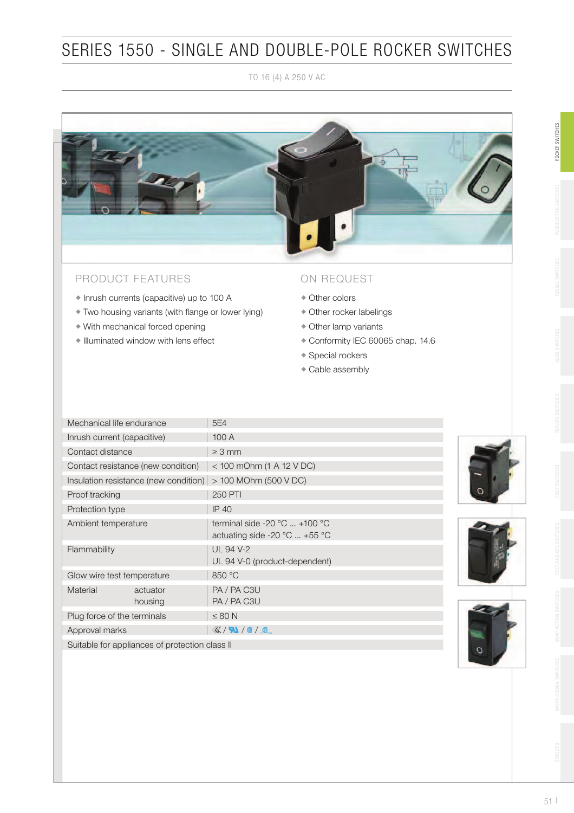TO 16 (4) A 250 V AC



#### PRODUCT FEATURES

- Inrush currents (capacitive) up to 100 A
- $\bullet$  Two housing variants (with flange or lower lying)
- With mechanical forced opening
- Illuminated window with lens effect

#### ON REQUEST

- Other colors
- Other rocker labelings
- Other lamp variants
- Conformity IEC 60065 chap. 14.6
- Special rockers
- Cable assembly

| Mechanical life endurance   |                                                       | 5E4                                                                                                    |  |  |  |  |  |  |  |  |
|-----------------------------|-------------------------------------------------------|--------------------------------------------------------------------------------------------------------|--|--|--|--|--|--|--|--|
| Inrush current (capacitive) |                                                       | 100 A                                                                                                  |  |  |  |  |  |  |  |  |
| Contact distance            |                                                       | $\geq 3$ mm                                                                                            |  |  |  |  |  |  |  |  |
|                             | Contact resistance (new condition)                    | < 100 mOhm (1 A 12 V DC)                                                                               |  |  |  |  |  |  |  |  |
|                             | Insulation resistance (new condition)                 | > 100 MOhm (500 V DC)                                                                                  |  |  |  |  |  |  |  |  |
| Proof tracking              |                                                       | 250 PTI                                                                                                |  |  |  |  |  |  |  |  |
| Protection type             |                                                       | <b>IP 40</b>                                                                                           |  |  |  |  |  |  |  |  |
| Ambient temperature         |                                                       | terminal side -20 $^{\circ}$ C  +100 $^{\circ}$ C<br>actuating side -20 $^{\circ}$ C  +55 $^{\circ}$ C |  |  |  |  |  |  |  |  |
| Flammability                |                                                       | UL 94 V-2<br>UL 94 V-0 (product-dependent)                                                             |  |  |  |  |  |  |  |  |
| Glow wire test temperature  |                                                       | 850 °C                                                                                                 |  |  |  |  |  |  |  |  |
| Material                    | actuator<br>housing                                   | PA / PA C3U<br>PA / PA C3U                                                                             |  |  |  |  |  |  |  |  |
| Plug force of the terminals |                                                       | $\leq 80$ N                                                                                            |  |  |  |  |  |  |  |  |
| Approval marks              |                                                       | $\mathcal{K}/\mathbf{N}/\mathbf{C}/\mathbf{C}$                                                         |  |  |  |  |  |  |  |  |
|                             | $\circ$ . The state of the state of the state $\circ$ |                                                                                                        |  |  |  |  |  |  |  |  |

Suitable for appliances of protection class II







ROCKER SWITCHES

ROCKER SWITCHES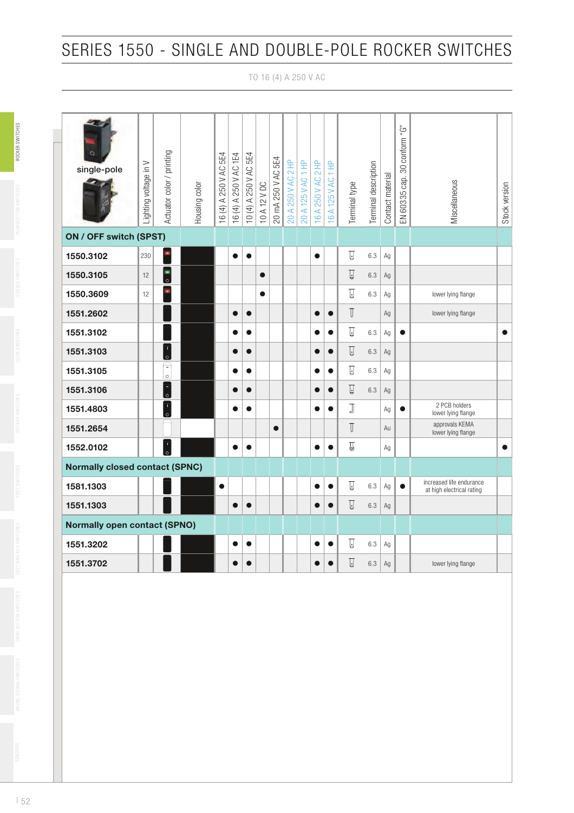TO 16 (4) A 250 V AC

| single-pole                           | Lighting voltage in V | Actuator color / printing           | Housing color | 5E4<br>250 V AC<br>16 $(4)$ A 2 | 16 (4) A 250 V AC 1E4 | 10 (4) A 250 V AC 5E4 | 10 A 12 V DC | 5E4<br>20 mA 250 V AC | A 250 V AC 2 HP<br>20 | A 125 V AC 1 HP<br>$\overline{5}$ | 2H<br>250 V AC<br>16 A: | 16 A 125 V AC 1 HP | Terminal type           | Terminal description | Contact material | 30 conform "G"<br>EN 60335 cap. | Miscellaneous                                         | Stock version |
|---------------------------------------|-----------------------|-------------------------------------|---------------|---------------------------------|-----------------------|-----------------------|--------------|-----------------------|-----------------------|-----------------------------------|-------------------------|--------------------|-------------------------|----------------------|------------------|---------------------------------|-------------------------------------------------------|---------------|
| ON / OFF switch (SPST)                |                       |                                     |               |                                 |                       |                       |              |                       |                       |                                   |                         |                    |                         |                      |                  |                                 |                                                       |               |
| 1550.3102                             | 230                   |                                     |               |                                 | $\bullet$             | $\bullet$             |              |                       |                       |                                   | $\bullet$               |                    | $\overline{u}$          | 6.3                  | Ag               |                                 |                                                       |               |
| 1550.3105                             | 12                    | $\overline{\phantom{0}}\phantom{0}$ |               |                                 |                       |                       | $\bullet$    |                       |                       |                                   |                         |                    | $\overline{u}$          | 6.3                  | Ag               |                                 |                                                       |               |
| 1550.3609                             | 12                    | n                                   |               |                                 |                       |                       | $\bullet$    |                       |                       |                                   |                         |                    | $\overline{a}$          | 6.3                  | Ag               |                                 | lower lying flange                                    |               |
| 1551.2602                             |                       |                                     |               |                                 | $\bullet$             | $\bullet$             |              |                       |                       |                                   | $\bullet$               | $\bullet$          | $\mathbb T$             |                      | Ag               |                                 | lower lying flange                                    |               |
| 1551.3102                             |                       |                                     |               |                                 |                       | $\bullet$             |              |                       |                       |                                   |                         |                    | ▯                       | 6.3                  | Ag               | $\bullet$                       |                                                       | $\bullet$     |
| 1551.3103                             |                       | $\top$<br>l٥                        |               |                                 |                       | $\bullet$             |              |                       |                       |                                   |                         | $\bullet$          | $\overline{\mathsf{L}}$ | 6.3                  | Ag               |                                 |                                                       |               |
| 1551.3105                             |                       | $\equiv$<br>$\circ$                 |               |                                 | О.                    | $\bullet$             |              |                       |                       |                                   | $\bullet$               | $\bullet$          | ▯                       | 6.3                  | Ag               |                                 |                                                       |               |
| 1551.3106                             |                       | Ξ<br>$\circ$                        |               |                                 | $\bullet$             | $\bullet$             |              |                       |                       |                                   | $\bullet$               | $\bullet$          | $\overline{\mathbb{Q}}$ | 6.3                  | Ag               |                                 |                                                       |               |
| 1551.4803                             |                       | $\mathbf{T}$<br>$\overline{\circ}$  |               |                                 | ●                     |                       |              |                       |                       |                                   | $\bullet$               | 0                  | J                       |                      | Аg               | $\bullet$                       | 2 PCB holders<br>lower lying flange                   |               |
| 1551.2654                             |                       |                                     |               |                                 |                       |                       |              | $\bullet$             |                       |                                   |                         |                    | $\mathbb T$             |                      | Au               |                                 | approvals KEMA<br>lower lying flange                  |               |
| 1552.0102                             |                       | $\frac{1}{\circ}$                   |               |                                 | ●                     | e                     |              |                       |                       |                                   | e                       | 0                  | $\mathbb{Z}$            |                      | Ag               |                                 |                                                       | $\bullet$     |
| <b>Normally closed contact (SPNC)</b> |                       |                                     |               |                                 |                       |                       |              |                       |                       |                                   |                         |                    |                         |                      |                  |                                 |                                                       |               |
| 1581.1303                             |                       |                                     |               | $\bullet$                       |                       |                       |              |                       |                       |                                   | $\bullet$               |                    | $\overline{\mathbb{Q}}$ | 6.3                  | Ag               | $\bullet$                       | increased life endurance<br>at high electrical rating |               |
| 1551.1303                             |                       |                                     |               |                                 | ●                     | $\bullet$             |              |                       |                       |                                   | $\bullet$               | $\bullet$          | $\Box$                  | 6.3                  | Ag               |                                 |                                                       |               |
| <b>Normally open contact (SPNO)</b>   |                       |                                     |               |                                 |                       |                       |              |                       |                       |                                   |                         |                    |                         |                      |                  |                                 |                                                       |               |
| 1551.3202                             |                       |                                     |               |                                 | ●                     | $\bullet$             |              |                       |                       |                                   | $\bullet$               | e                  | $\Box$                  | 6.3                  | Ag               |                                 |                                                       |               |
| 1551.3702                             |                       |                                     |               |                                 | O                     | O                     |              |                       |                       |                                   | O                       |                    | $\overline{\mathbb{Q}}$ | 6.3                  | Ag               |                                 | lower lying flange                                    |               |

ROCKER SWITCHES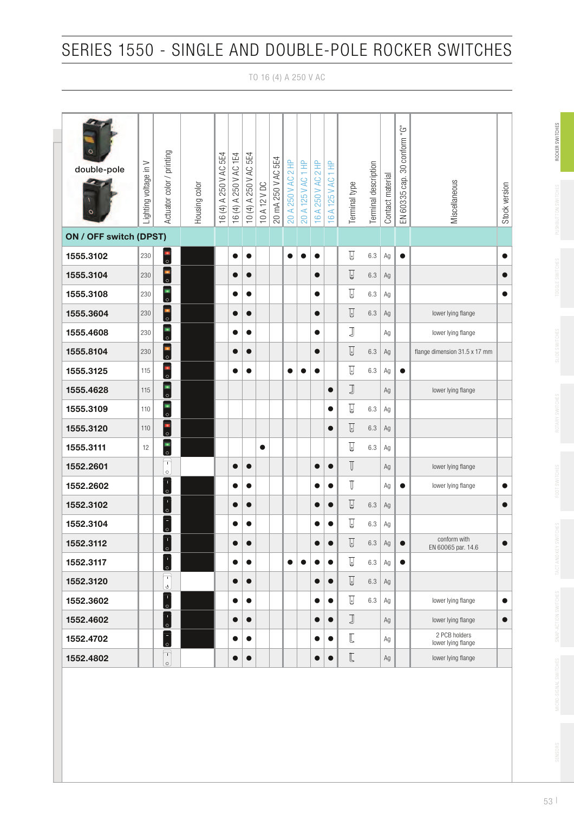TO 16 (4) A 250 V AC

| $\circ$<br>double-pole<br>$\circ$ | Lighting voltage in V | Actuator color / printing                                                                                                                                                                                                                                                                                                                                                                      | Housing color | 250 V AC 5E4<br>16 $(4)$ A | 16 (4) A 250 V AC 1E4 | 10 (4) A 250 V AC 5E4 | 10 A 12 V DC | 5E4<br>20 mA 250 V AC | 20 A 250 V AC 2 HP | 20 A 125 V AC 1 HP | $\equiv$<br>250 V AC 2 | $\overline{z}$<br>16 A 125 V AC | Terminal type            | Terminal description | Contact material | EN 60335 cap. 30 conform "G" | Miscellaneous                       | Stock version |
|-----------------------------------|-----------------------|------------------------------------------------------------------------------------------------------------------------------------------------------------------------------------------------------------------------------------------------------------------------------------------------------------------------------------------------------------------------------------------------|---------------|----------------------------|-----------------------|-----------------------|--------------|-----------------------|--------------------|--------------------|------------------------|---------------------------------|--------------------------|----------------------|------------------|------------------------------|-------------------------------------|---------------|
|                                   |                       |                                                                                                                                                                                                                                                                                                                                                                                                |               |                            |                       |                       |              |                       |                    |                    | 16A                    |                                 |                          |                      |                  |                              |                                     |               |
| ON / OFF switch (DPST)            |                       |                                                                                                                                                                                                                                                                                                                                                                                                |               |                            |                       |                       |              |                       |                    |                    |                        |                                 |                          |                      |                  |                              |                                     |               |
| 1555.3102                         | 230                   | $\overline{\overline{\phantom{a}}\phantom{a}}$                                                                                                                                                                                                                                                                                                                                                 |               |                            | $\bullet$             | $\bullet$             |              |                       | $\bullet$          |                    | $\bullet$              |                                 | $\overline{C}$           | 6.3                  | Ag               | $\bullet$                    |                                     | $\bullet$     |
| 1555.3104                         | 230                   | $\overline{\phantom{0}}$                                                                                                                                                                                                                                                                                                                                                                       |               |                            |                       | $\bullet$             |              |                       |                    |                    | $\bullet$              |                                 | $\overline{\mathbb{Q}}$  | 6.3                  | Аg               |                              |                                     | $\bullet$     |
| 1555.3108                         | 230                   | $\overline{\phantom{0}}$                                                                                                                                                                                                                                                                                                                                                                       |               |                            | $\bullet$             | $\bullet$             |              |                       |                    |                    | $\bullet$              |                                 | IJ                       | 6.3                  | Ag               |                              |                                     | $\bullet$     |
| 1555.3604                         | 230                   | $\overline{\phantom{0}}\phantom{0}$                                                                                                                                                                                                                                                                                                                                                            |               |                            | $\bullet$             | $\bullet$             |              |                       |                    |                    | $\bullet$              |                                 | $\overline{\mathbb{Q}}$  | 6.3                  | Ag               |                              | lower lying flange                  |               |
| 1555.4608                         | 230                   | $\overline{\phantom{0}}$                                                                                                                                                                                                                                                                                                                                                                       |               |                            |                       | $\bullet$             |              |                       |                    |                    | $\bullet$              |                                 | J                        |                      | Αg               |                              | lower lying flange                  |               |
| 1555.8104                         | 230                   | $\begin{array}{c} \blacksquare \ \loacksquare \ \loacksquare \end{array}$                                                                                                                                                                                                                                                                                                                      |               |                            | $\bullet$             | $\bullet$             |              |                       |                    |                    | $\bullet$              |                                 | $\overline{\mathbb{Q}}%$ | 6.3                  | $\mathsf{Ag}$    |                              | flange dimension 31.5 x 17 mm       |               |
| 1555.3125                         | 115                   | $\begin{array}{c} \boxed{1} \\ \odot \end{array}$                                                                                                                                                                                                                                                                                                                                              |               |                            | ●                     | 0                     |              |                       | $\bullet$          |                    | $\bullet$              |                                 | Ţ                        | 6.3                  | Ag               | $\bullet$                    |                                     |               |
| 1555.4628                         | 115                   | $\overline{\blacksquare}$                                                                                                                                                                                                                                                                                                                                                                      |               |                            |                       |                       |              |                       |                    |                    |                        | $\bullet$                       | $\mathbb J$              |                      | Ag               |                              | lower lying flange                  |               |
| 1555.3109                         | 110                   | $\overline{\phantom{0}}$                                                                                                                                                                                                                                                                                                                                                                       |               |                            |                       |                       |              |                       |                    |                    |                        | $\bullet$                       | $\overline{\mathbb{Q}}$  | 6.3                  | Ag               |                              |                                     |               |
| 1555.3120                         | 110                   | $\overline{\phantom{a}}\phantom{a}$                                                                                                                                                                                                                                                                                                                                                            |               |                            |                       |                       |              |                       |                    |                    |                        | $\bullet$                       | $\overline{\mathbb{Q}}$  | 6.3                  | Ag               |                              |                                     |               |
| 1555.3111                         | 12                    | $\overline{\phantom{0}}$                                                                                                                                                                                                                                                                                                                                                                       |               |                            |                       |                       | $\bullet$    |                       |                    |                    |                        |                                 | $\overline{\mathbb{Q}}$  | 6.3                  | Ag               |                              |                                     |               |
| 1552.2601                         |                       | $\mathbf T$<br>$\circ$                                                                                                                                                                                                                                                                                                                                                                         |               |                            | 0                     | $\bullet$             |              |                       |                    |                    | $\bullet$              | $\bullet$                       | $\mathbb T$              |                      | Ag               |                              | lower lying flange                  |               |
| 1552.2602                         |                       | $\top$<br>l٥.                                                                                                                                                                                                                                                                                                                                                                                  |               |                            | $\bullet$             | $\bullet$             |              |                       |                    |                    | $\bullet$              | $\bullet$                       | $\mathbb T$              |                      | Аg               | $\bullet$                    | lower lying flange                  | $\bullet$     |
| 1552.3102                         |                       | $\top$<br>۱o.                                                                                                                                                                                                                                                                                                                                                                                  |               |                            | $\bullet$             | $\bullet$             |              |                       |                    |                    | $\bullet$              | $\bullet$                       | $\overline{\mathbb{Q}}$  | 6.3                  | Ag               |                              |                                     | $\bullet$     |
| 1552.3104                         |                       | $\begin{bmatrix} 1 \ 0 \end{bmatrix}$                                                                                                                                                                                                                                                                                                                                                          |               |                            |                       | $\bullet$             |              |                       |                    |                    | 0                      | $\bullet$                       | Ţ                        | 6.3                  | Аg               |                              |                                     |               |
| 1552.3112                         |                       | $\top$<br><u>l٥.</u>                                                                                                                                                                                                                                                                                                                                                                           |               |                            |                       |                       |              |                       |                    |                    |                        |                                 | $\overline{\mathbb{Q}}$  | $6.3\,$              | $\mathsf{Ag}$    |                              | conform with<br>EN 60065 par. 14.6  |               |
| 1552.3117                         |                       | $\begin{bmatrix} 1 \\ 0 \end{bmatrix}$                                                                                                                                                                                                                                                                                                                                                         |               |                            | $\bullet$             | $\bullet$             |              |                       | $\bullet$          | ∙                  |                        | $\bullet$                       | IJ                       | 6.3                  | Ag               | $\bullet$                    |                                     |               |
| 1552.3120                         |                       | $\mathbf T$<br>$\mathbb{Q}$                                                                                                                                                                                                                                                                                                                                                                    |               |                            | $\bullet$             | $\bullet$             |              |                       |                    |                    | $\bullet$              | $\bullet$                       | $\overline{U}$           | 6.3                  | Ag               |                              |                                     |               |
| 1552.3602                         |                       | $\overline{\overline{C}}$                                                                                                                                                                                                                                                                                                                                                                      |               |                            | $\bullet$             | $\bullet$             |              |                       |                    |                    | $\bullet$              | $\bullet$                       | IJ                       | 6.3                  | Ag               |                              | lower lying flange                  | $\bullet$     |
| 1552.4602                         |                       | $\top$<br>lo,                                                                                                                                                                                                                                                                                                                                                                                  |               |                            | $\bullet$             | $\bullet$             |              |                       |                    |                    | $\bullet$              | $\bullet$                       | $\mathbb J$              |                      | Ag               |                              | lower lying flange                  | $\bullet$     |
| 1552.4702                         |                       | $\begin{bmatrix} \rule{0pt}{17pt} \rule{0pt}{17pt} \rule{0pt}{17pt} \rule{0pt}{17pt} \rule{0pt}{17pt} \rule{0pt}{17pt} \rule{0pt}{17pt} \rule{0pt}{17pt} \rule{0pt}{17pt} \rule{0pt}{17pt} \rule{0pt}{17pt} \rule{0pt}{17pt} \rule{0pt}{17pt} \rule{0pt}{17pt} \rule{0pt}{17pt} \rule{0pt}{17pt} \rule{0pt}{17pt} \rule{0pt}{17pt} \rule{0pt}{17pt} \rule{0pt}{17pt} \rule{0pt}{17pt} \rule{0$ |               |                            |                       | $\bullet$             |              |                       |                    |                    | $\bullet$              | $\bullet$                       | $\mathbb E$              |                      | Ag               |                              | 2 PCB holders<br>lower lying flange |               |
| 1552.4802                         |                       | $\Gamma$<br>$\circ$                                                                                                                                                                                                                                                                                                                                                                            |               |                            | $\bullet$             | $\bullet$             |              |                       |                    |                    | $\bullet$              | $\bullet$                       | $\mathbb E$              |                      | Ag               |                              | lower lying flange                  |               |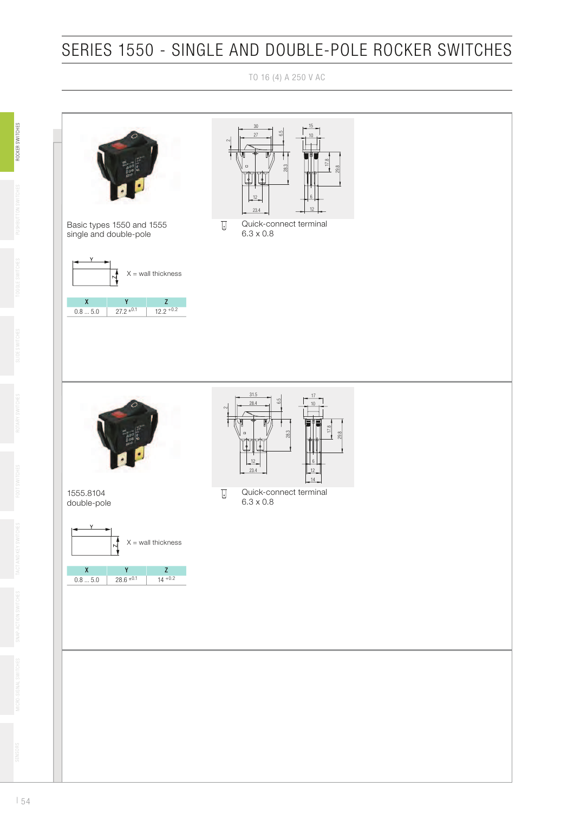TO 16 (4) A 250 V AC

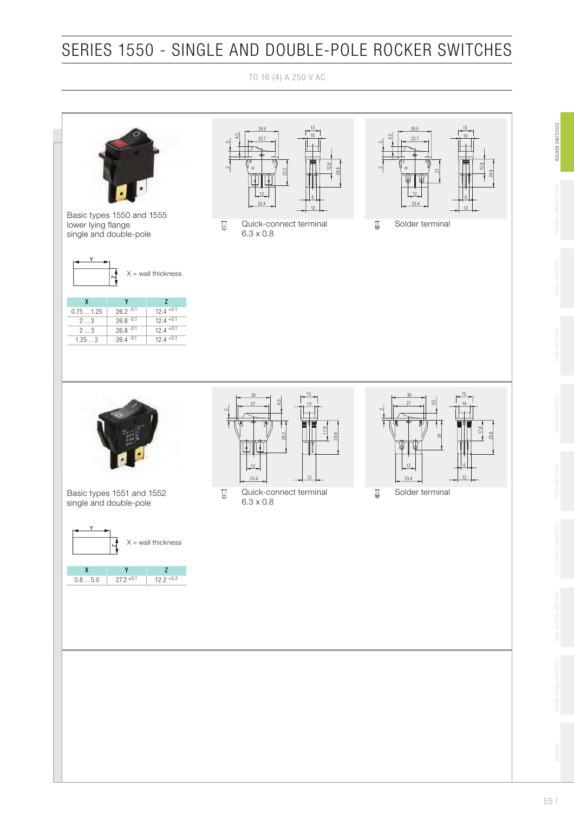TO 16 (4) A 250 V AC